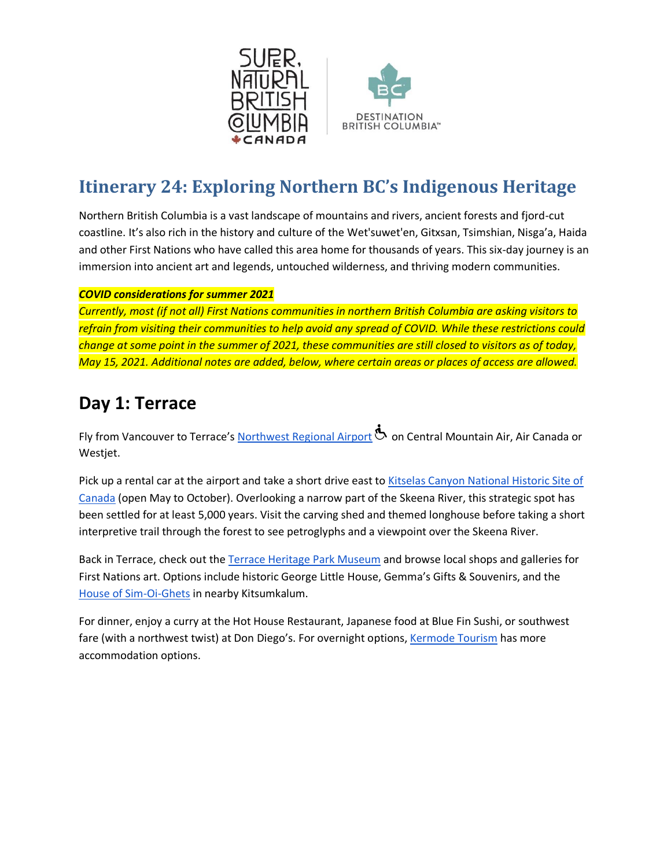



## **Itinerary 24: Exploring Northern BC's Indigenous Heritage**

Northern British Columbia is a vast landscape of mountains and rivers, ancient forests and fjord-cut coastline. It's also rich in the history and culture of the Wet'suwet'en, Gitxsan, Tsimshian, Nisga'a, Haida and other First Nations who have called this area home for thousands of years. This six-day journey is an immersion into ancient art and legends, untouched wilderness, and thriving modern communities.

#### *COVID considerations for summer 2021*

*Currently, most (if not all) First Nations communities in northern British Columbia are asking visitors to refrain from visiting their communities to help avoid any spread of COVID. While these restrictions could change at some point in the summer of 2021, these communities are still closed to visitors as of today, May 15, 2021. Additional notes are added, below, where certain areas or places of access are allowed.* 

### **Day 1: Terrace**

Fly from Vancouver to Terrace's [Northwest Regional Airport](http://www.yxt.ca/) **the State Central Mountain Air, Air Canada or** Westjet.

Pick up a rental car at the airport and take a short drive east to Kitselas Canyon National Historic Site of [Canada](http://www.kitselas.com/index.php/resources/canyon-tours/) (open May to October). Overlooking a narrow part of the Skeena River, this strategic spot has been settled for at least 5,000 years. Visit the carving shed and themed longhouse before taking a short interpretive trail through the forest to see petroglyphs and a viewpoint over the Skeena River.

Back in Terrace, check out the [Terrace Heritage Park Museum](http://heritageparkmuseum.com/) and browse local shops and galleries for First Nations art. Options include historic George Little House, Gemma's Gifts & Souvenirs, and the [House of Sim-Oi-Ghets](http://www.kitsumkalum.com/house-of-sim-oi-ghets/) in nearby Kitsumkalum.

For dinner, enjoy a curry at the Hot House Restaurant, Japanese food at Blue Fin Sushi, or southwest fare (with a northwest twist) at Don Diego's. For overnight options, [Kermode Tourism](https://www.visitterrace.com/where-to-stay) has more accommodation options.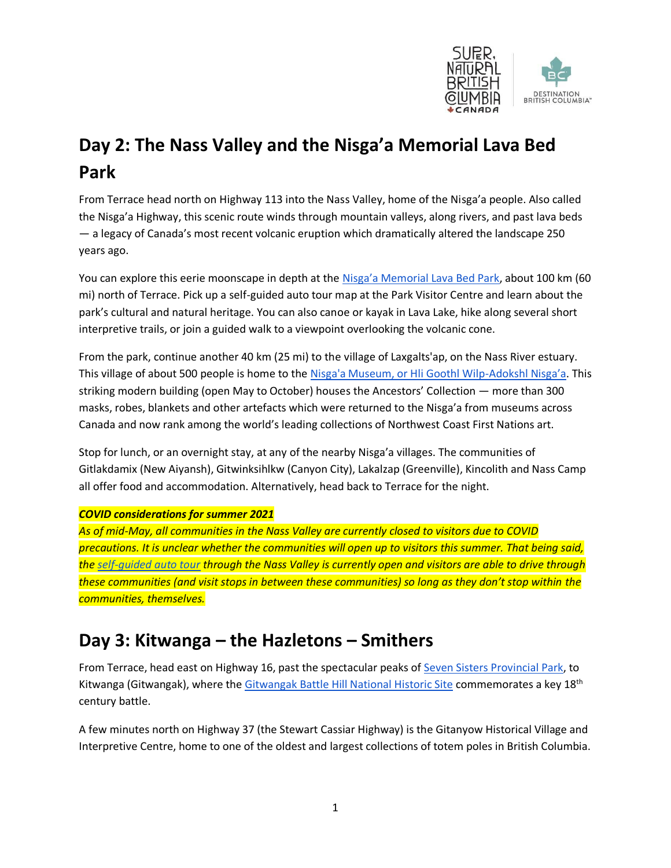

# **Day 2: The Nass Valley and the Nisga'a Memorial Lava Bed Park**

From Terrace head north on Highway 113 into the Nass Valley, home of the Nisga'a people. Also called the Nisga'a Highway, this scenic route winds through mountain valleys, along rivers, and past lava beds — a legacy of Canada's most recent volcanic eruption which dramatically altered the landscape 250 years ago.

You can explore this eerie moonscape in depth at the [Nisga'a Memorial Lava Bed Park](http://www.env.gov.bc.ca/bcparks/explore/parkpgs/nisgaa/), about 100 km (60 mi) north of Terrace. Pick up a self-guided auto tour map at the Park Visitor Centre and learn about the park's cultural and natural heritage. You can also canoe or kayak in Lava Lake, hike along several short interpretive trails, or join a guided walk to a viewpoint overlooking the volcanic cone.

From the park, continue another 40 km (25 mi) to the village of Laxgalts'ap, on the Nass River estuary. This village of about 500 people is home to the [Nisga'a Museum, or Hli Goothl Wilp-](http://nisgaamuseum.ca/)Adokshl Nisga'a. This striking modern building (open May to October) houses the Ancestors' Collection — more than 300 masks, robes, blankets and other artefacts which were returned to the Nisga'a from museums across Canada and now rank among the world's leading collections of Northwest Coast First Nations art.

Stop for lunch, or an overnight stay, at any of the nearby Nisga'a villages. The communities of Gitlakdamix (New Aiyansh), Gitwinksihlkw (Canyon City), Lakalzap (Greenville), Kincolith and Nass Camp all offer food and accommodation. Alternatively, head back to Terrace for the night.

#### *COVID considerations for summer 2021*

*As of mid-May, all communities in the Nass Valley are currently closed to visitors due to COVID precautions. It is unclear whether the communities will open up to visitors this summer. That being said, the [self-guided auto tour](http://www.nisgaatourism.com/auto-tour/) through the Nass Valley is currently open and visitors are able to drive through these communities (and visit stops in between these communities) so long as they don't stop within the communities, themselves.* 

### **Day 3: Kitwanga – the Hazletons – Smithers**

From Terrace, head east on Highway 16, past the spectacular peaks of [Seven Sisters Provincial Park,](http://www.env.gov.bc.ca/bcparks/explore/parkpgs/seven_sis/) to Kitwanga (Gitwangak), where the [Gitwangak Battle Hill National Historic Site](https://www.pc.gc.ca/en/lhn-nhs/bc/gitwangak) commemorates a key 18<sup>th</sup> century battle.

A few minutes north on Highway 37 (the Stewart Cassiar Highway) is the Gitanyow Historical Village and Interpretive Centre, home to one of the oldest and largest collections of totem poles in British Columbia.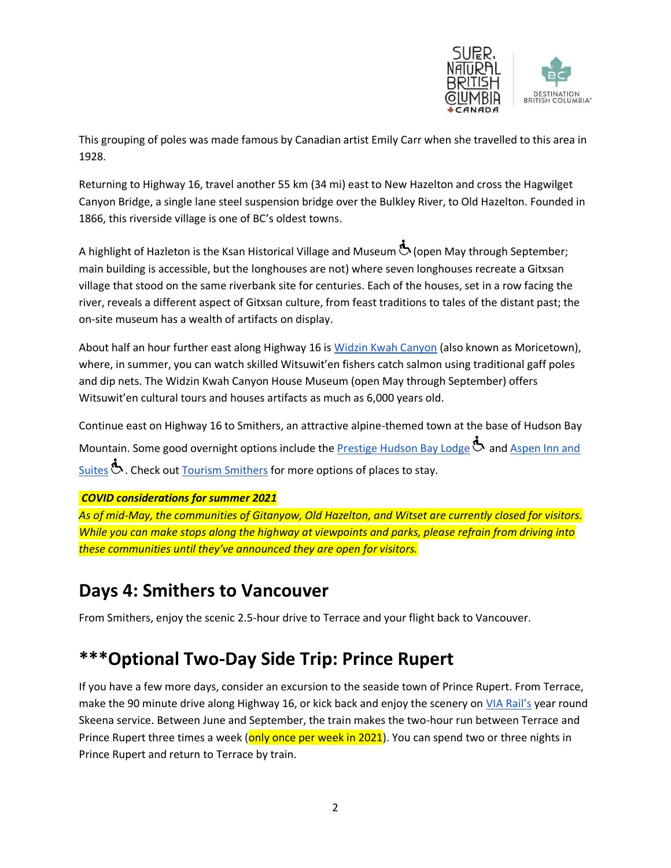

This grouping of poles was made famous by Canadian artist Emily Carr when she travelled to this area in 1928.

Returning to Highway 16, travel another 55 km (34 mi) east to New Hazelton and cross the Hagwilget Canyon Bridge, a single lane steel suspension bridge over the Bulkley River, to Old Hazelton. Founded in 1866, this riverside village is one of BC's oldest towns.

A highlight of Hazleton is the Ksan Historical Village and Museum (open May through September; main building is accessible, but the longhouses are not) where seven longhouses recreate a Gitxsan village that stood on the same riverbank site for centuries. Each of the houses, set in a row facing the river, reveals a different aspect of Gitxsan culture, from feast traditions to tales of the distant past; the on-site museum has a wealth of artifacts on display.

About half an hour further east along Highway 16 is [Widzin Kwah Canyon](http://www.moricetown.ca/economic-development/museum/) (also known as Moricetown), where, in summer, you can watch skilled Witsuwit'en fishers catch salmon using traditional gaff poles and dip nets. The Widzin Kwah Canyon House Museum (open May through September) offers Witsuwit'en cultural tours and houses artifacts as much as 6,000 years old.

Continue east on Highway 16 to Smithers, an attractive alpine-themed town at the base of Hudson Bay Mountain. Some good overnight options include the [Prestige Hudson Bay Lodge](http://www.prestigehotelsandresorts.com/locations/smithers/overview/)  $\Phi$  and Aspen Inn and [Suites](http://www.aspeninnsmithers.com/)  $\mathbf{\dot{b}}$ . Check out [Tourism Smithers](https://tourismsmithers.com/places-to-sleep) for more options of places to stay.

#### *COVID considerations for summer 2021*

*As of mid-May, the communities of Gitanyow, Old Hazelton, and Witset are currently closed for visitors. While you can make stops along the highway at viewpoints and parks, please refrain from driving into these communities until they've announced they are open for visitors.* 

### **Days 4: Smithers to Vancouver**

From Smithers, enjoy the scenic 2.5-hour drive to Terrace and your flight back to Vancouver.

### **\*\*\*Optional Two-Day Side Trip: Prince Rupert**

If you have a few more days, consider an excursion to the seaside town of Prince Rupert. From Terrace, make the 90 minute drive along Highway 16, or kick back and enjoy the scenery on [VIA Rail's](https://www.viarail.ca/en/explore-our-destinations/trains/rockies-and-pacific/jasper-prince-rupert-old) year round Skeena service. Between June and September, the train makes the two-hour run between Terrace and Prince Rupert three times a week (only once per week in 2021). You can spend two or three nights in Prince Rupert and return to Terrace by train.